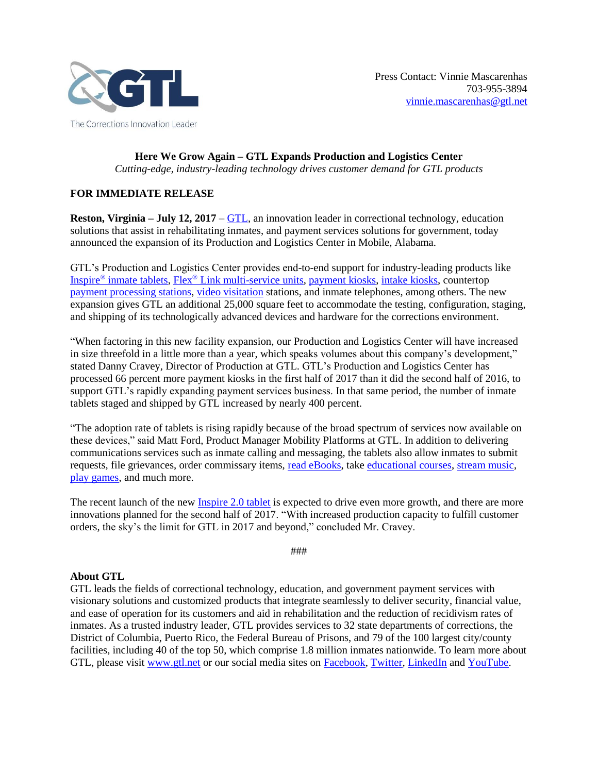

**Here We Grow Again – GTL Expands Production and Logistics Center** *Cutting-edge, industry-leading technology drives customer demand for GTL products*

## **FOR IMMEDIATE RELEASE**

**Reston, Virginia – July 12, 2017** – [GTL,](http://www.gtl.net/) an innovation leader in correctional technology, education solutions that assist in rehabilitating inmates, and payment services solutions for government, today announced the expansion of its Production and Logistics Center in Mobile, Alabama.

GTL's Production and Logistics Center provides end-to-end support for industry-leading products like Inspire® [inmate tablets,](http://www.gtl.net/correctional-facilities-present-unique-environmental-challenges-gtls-technology-is-the-solution/) Flex® [Link multi-service units,](http://www.gtl.net/flex-link-receives-underwriters-laboratory-ul-component-recognition/) [payment kiosks,](http://www.gtl.net/new-kiosks-streamline-child-support-payments/) [intake kiosks,](http://www.gtl.net/intake-kiosk/) countertop [payment processing stations,](http://www.gtl.net/gtl-launches-new-government-payment-processing-station/) [video visitation](http://www.gtl.net/gtl-video-visitation-technology-provides-friends-and-family-increased-frequency-of-contact-with-incarcerated-loved-ones/) stations, and inmate telephones, among others. The new expansion gives GTL an additional 25,000 square feet to accommodate the testing, configuration, staging, and shipping of its technologically advanced devices and hardware for the corrections environment.

"When factoring in this new facility expansion, our Production and Logistics Center will have increased in size threefold in a little more than a year, which speaks volumes about this company's development," stated Danny Cravey, Director of Production at GTL. GTL's Production and Logistics Center has processed 66 percent more payment kiosks in the first half of 2017 than it did the second half of 2016, to support GTL's rapidly expanding payment services business. In that same period, the number of inmate tablets staged and shipped by GTL increased by nearly 400 percent.

"The adoption rate of tablets is rising rapidly because of the broad spectrum of services now available on these devices," said Matt Ford, Product Manager Mobility Platforms at GTL. In addition to delivering communications services such as inmate calling and messaging, the tablets also allow inmates to submit requests, file grievances, order commissary items, [read eBooks,](http://www.gtl.net/gtl-inspire-inmate-tablet-now-offering-ebooks-subscription/) take [educational courses,](http://www.gtl.net/gtl-unveils-education-management-offering-for-corrections-professionals-and-inmates/) [stream music,](http://www.gtl.net/gtl-builds-and-deploys-secure-streaming-music-service-for-corrections/) [play games,](http://www.gtl.net/gtl-launches-game-center-subscription-service-on-tablets-in-correctional-facilities/) and much more.

The recent launch of the new [Inspire 2.0 tablet](http://www.gtl.net/gtl_releases_inspire_2_next-generation_inmate_tablet/) is expected to drive even more growth, and there are more innovations planned for the second half of 2017. "With increased production capacity to fulfill customer orders, the sky's the limit for GTL in 2017 and beyond," concluded Mr. Cravey.

###

## **About GTL**

GTL leads the fields of correctional technology, education, and government payment services with visionary solutions and customized products that integrate seamlessly to deliver security, financial value, and ease of operation for its customers and aid in rehabilitation and the reduction of recidivism rates of inmates. As a trusted industry leader, GTL provides services to 32 state departments of corrections, the District of Columbia, Puerto Rico, the Federal Bureau of Prisons, and 79 of the 100 largest city/county facilities, including 40 of the top 50, which comprise 1.8 million inmates nationwide. To learn more about GTL, please visit [www.gtl.net](http://www.gtl.net/) or our social media sites on [Facebook,](https://www.facebook.com/GTLGlobalTelLink/) [Twitter,](https://twitter.com/GlobalTelLink) [LinkedIn](https://www.linkedin.com/company/global-tel-link) and [YouTube.](https://www.youtube.com/c/gtl_tech_leader)